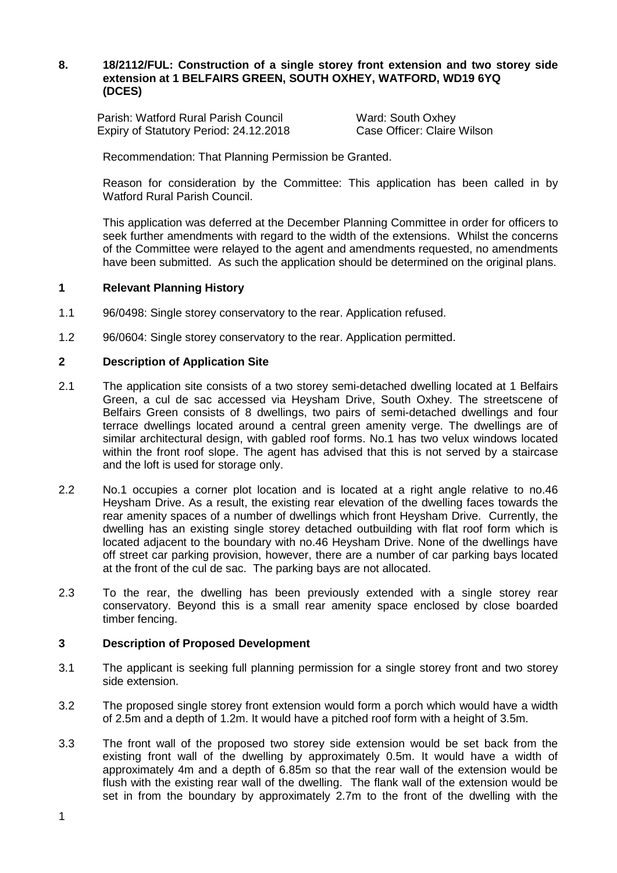# **8. 18/2112/FUL: Construction of a single storey front extension and two storey side extension at 1 BELFAIRS GREEN, SOUTH OXHEY, WATFORD, WD19 6YQ (DCES)**

Parish: Watford Rural Parish Council **National Ward: South Oxhey**<br>
Expiry of Statutory Period: 24.12.2018 Case Officer: Claire Wilson Expiry of Statutory Period: 24.12.2018

Recommendation: That Planning Permission be Granted.

Reason for consideration by the Committee: This application has been called in by Watford Rural Parish Council.

This application was deferred at the December Planning Committee in order for officers to seek further amendments with regard to the width of the extensions. Whilst the concerns of the Committee were relayed to the agent and amendments requested, no amendments have been submitted. As such the application should be determined on the original plans.

## **1 Relevant Planning History**

- 1.1 96/0498: Single storey conservatory to the rear. Application refused.
- 1.2 96/0604: Single storey conservatory to the rear. Application permitted.

## **2 Description of Application Site**

- 2.1 The application site consists of a two storey semi-detached dwelling located at 1 Belfairs Green, a cul de sac accessed via Heysham Drive, South Oxhey. The streetscene of Belfairs Green consists of 8 dwellings, two pairs of semi-detached dwellings and four terrace dwellings located around a central green amenity verge. The dwellings are of similar architectural design, with gabled roof forms. No.1 has two velux windows located within the front roof slope. The agent has advised that this is not served by a staircase and the loft is used for storage only.
- 2.2 No.1 occupies a corner plot location and is located at a right angle relative to no.46 Heysham Drive. As a result, the existing rear elevation of the dwelling faces towards the rear amenity spaces of a number of dwellings which front Heysham Drive. Currently, the dwelling has an existing single storey detached outbuilding with flat roof form which is located adjacent to the boundary with no.46 Heysham Drive. None of the dwellings have off street car parking provision, however, there are a number of car parking bays located at the front of the cul de sac. The parking bays are not allocated.
- 2.3 To the rear, the dwelling has been previously extended with a single storey rear conservatory. Beyond this is a small rear amenity space enclosed by close boarded timber fencing.

#### **3 Description of Proposed Development**

- 3.1 The applicant is seeking full planning permission for a single storey front and two storey side extension.
- 3.2 The proposed single storey front extension would form a porch which would have a width of 2.5m and a depth of 1.2m. It would have a pitched roof form with a height of 3.5m.
- 3.3 The front wall of the proposed two storey side extension would be set back from the existing front wall of the dwelling by approximately 0.5m. It would have a width of approximately 4m and a depth of 6.85m so that the rear wall of the extension would be flush with the existing rear wall of the dwelling. The flank wall of the extension would be set in from the boundary by approximately 2.7m to the front of the dwelling with the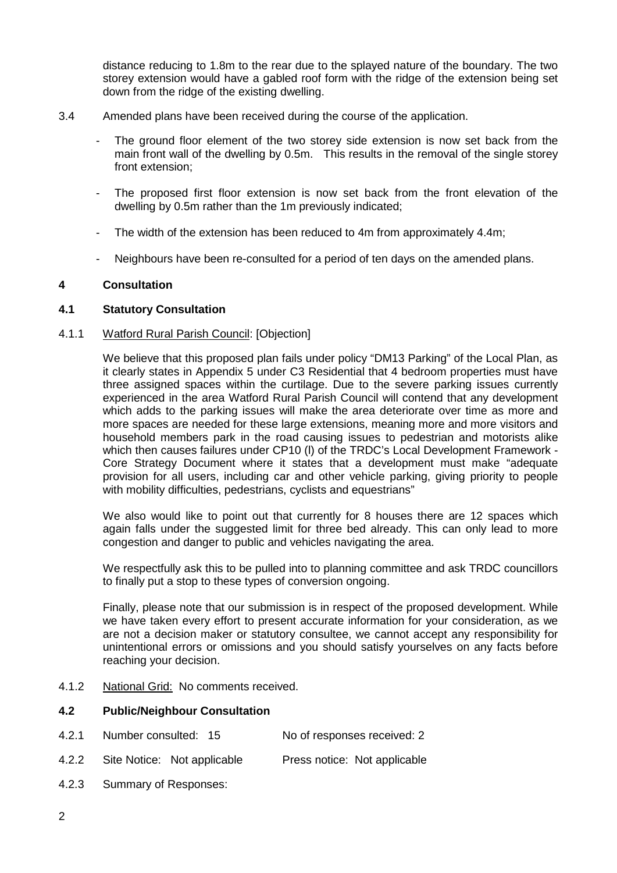distance reducing to 1.8m to the rear due to the splayed nature of the boundary. The two storey extension would have a gabled roof form with the ridge of the extension being set down from the ridge of the existing dwelling.

- 3.4 Amended plans have been received during the course of the application.
	- The ground floor element of the two storey side extension is now set back from the main front wall of the dwelling by 0.5m. This results in the removal of the single storey front extension;
	- The proposed first floor extension is now set back from the front elevation of the dwelling by 0.5m rather than the 1m previously indicated;
	- The width of the extension has been reduced to 4m from approximately 4.4m;
	- Neighbours have been re-consulted for a period of ten days on the amended plans.

## **4 Consultation**

#### **4.1 Statutory Consultation**

#### 4.1.1 Watford Rural Parish Council: [Objection]

We believe that this proposed plan fails under policy "DM13 Parking" of the Local Plan, as it clearly states in Appendix 5 under C3 Residential that 4 bedroom properties must have three assigned spaces within the curtilage. Due to the severe parking issues currently experienced in the area Watford Rural Parish Council will contend that any development which adds to the parking issues will make the area deteriorate over time as more and more spaces are needed for these large extensions, meaning more and more visitors and household members park in the road causing issues to pedestrian and motorists alike which then causes failures under CP10 (I) of the TRDC's Local Development Framework -Core Strategy Document where it states that a development must make "adequate provision for all users, including car and other vehicle parking, giving priority to people with mobility difficulties, pedestrians, cyclists and equestrians"

We also would like to point out that currently for 8 houses there are 12 spaces which again falls under the suggested limit for three bed already. This can only lead to more congestion and danger to public and vehicles navigating the area.

We respectfully ask this to be pulled into to planning committee and ask TRDC councillors to finally put a stop to these types of conversion ongoing.

Finally, please note that our submission is in respect of the proposed development. While we have taken every effort to present accurate information for your consideration, as we are not a decision maker or statutory consultee, we cannot accept any responsibility for unintentional errors or omissions and you should satisfy yourselves on any facts before reaching your decision.

4.1.2 National Grid: No comments received.

# **4.2 Public/Neighbour Consultation**

- 4.2.1 Number consulted: 15 No of responses received: 2
- 4.2.2 Site Notice: Not applicable Press notice: Not applicable
- 4.2.3 Summary of Responses: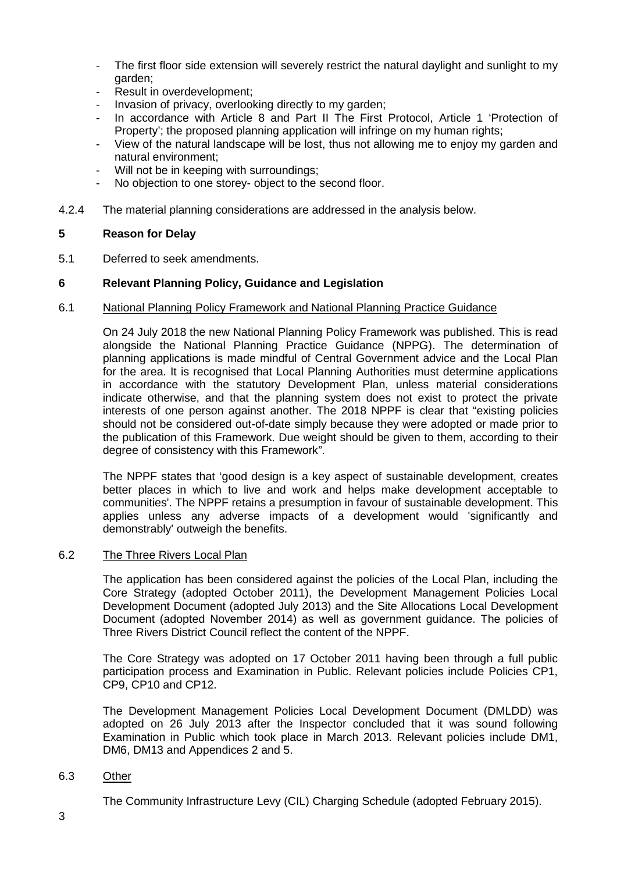- The first floor side extension will severely restrict the natural daylight and sunlight to my garden;
- Result in overdevelopment;
- Invasion of privacy, overlooking directly to my garden;
- In accordance with Article 8 and Part II The First Protocol, Article 1 'Protection of Property'; the proposed planning application will infringe on my human rights;
- View of the natural landscape will be lost, thus not allowing me to enjoy my garden and natural environment;
- Will not be in keeping with surroundings;
- No objection to one storey- object to the second floor.
- 4.2.4 The material planning considerations are addressed in the analysis below.

## **5 Reason for Delay**

5.1 Deferred to seek amendments.

## **6 Relevant Planning Policy, Guidance and Legislation**

#### 6.1 National Planning Policy Framework and National Planning Practice Guidance

On 24 July 2018 the new National Planning Policy Framework was published. This is read alongside the National Planning Practice Guidance (NPPG). The determination of planning applications is made mindful of Central Government advice and the Local Plan for the area. It is recognised that Local Planning Authorities must determine applications in accordance with the statutory Development Plan, unless material considerations indicate otherwise, and that the planning system does not exist to protect the private interests of one person against another. The 2018 NPPF is clear that "existing policies should not be considered out-of-date simply because they were adopted or made prior to the publication of this Framework. Due weight should be given to them, according to their degree of consistency with this Framework".

The NPPF states that 'good design is a key aspect of sustainable development, creates better places in which to live and work and helps make development acceptable to communities'. The NPPF retains a presumption in favour of sustainable development. This applies unless any adverse impacts of a development would 'significantly and demonstrably' outweigh the benefits.

# 6.2 The Three Rivers Local Plan

The application has been considered against the policies of the Local Plan, including the Core Strategy (adopted October 2011), the Development Management Policies Local Development Document (adopted July 2013) and the Site Allocations Local Development Document (adopted November 2014) as well as government guidance. The policies of Three Rivers District Council reflect the content of the NPPF.

The Core Strategy was adopted on 17 October 2011 having been through a full public participation process and Examination in Public. Relevant policies include Policies CP1, CP9, CP10 and CP12.

The Development Management Policies Local Development Document (DMLDD) was adopted on 26 July 2013 after the Inspector concluded that it was sound following Examination in Public which took place in March 2013. Relevant policies include DM1, DM6, DM13 and Appendices 2 and 5.

#### 6.3 Other

The Community Infrastructure Levy (CIL) Charging Schedule (adopted February 2015).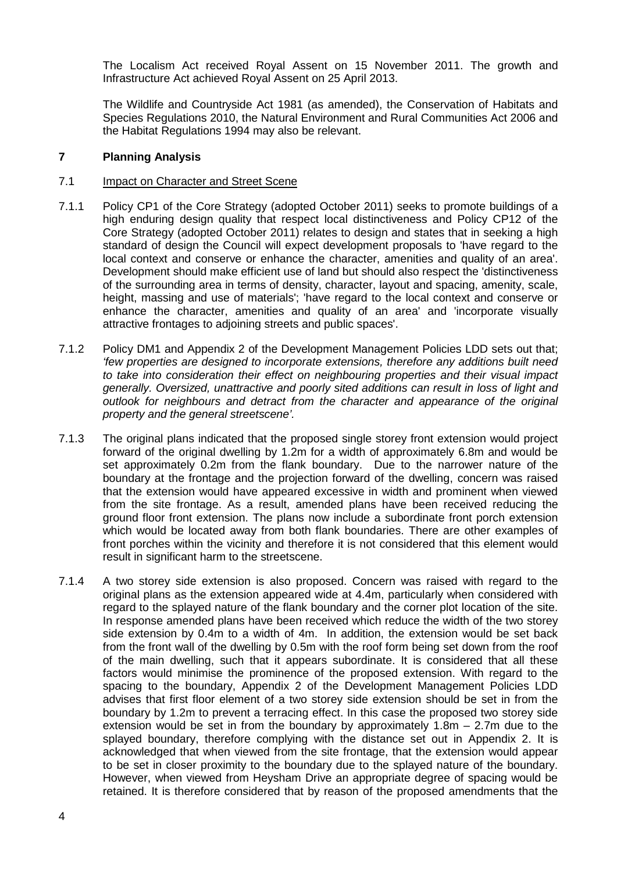The Localism Act received Royal Assent on 15 November 2011. The growth and Infrastructure Act achieved Royal Assent on 25 April 2013.

The Wildlife and Countryside Act 1981 (as amended), the Conservation of Habitats and Species Regulations 2010, the Natural Environment and Rural Communities Act 2006 and the Habitat Regulations 1994 may also be relevant.

# **7 Planning Analysis**

# 7.1 Impact on Character and Street Scene

- 7.1.1 Policy CP1 of the Core Strategy (adopted October 2011) seeks to promote buildings of a high enduring design quality that respect local distinctiveness and Policy CP12 of the Core Strategy (adopted October 2011) relates to design and states that in seeking a high standard of design the Council will expect development proposals to 'have regard to the local context and conserve or enhance the character, amenities and quality of an area'. Development should make efficient use of land but should also respect the 'distinctiveness of the surrounding area in terms of density, character, layout and spacing, amenity, scale, height, massing and use of materials'; 'have regard to the local context and conserve or enhance the character, amenities and quality of an area' and 'incorporate visually attractive frontages to adjoining streets and public spaces'.
- 7.1.2 Policy DM1 and Appendix 2 of the Development Management Policies LDD sets out that; *'few properties are designed to incorporate extensions, therefore any additions built need to take into consideration their effect on neighbouring properties and their visual impact generally. Oversized, unattractive and poorly sited additions can result in loss of light and outlook for neighbours and detract from the character and appearance of the original property and the general streetscene'.*
- 7.1.3 The original plans indicated that the proposed single storey front extension would project forward of the original dwelling by 1.2m for a width of approximately 6.8m and would be set approximately 0.2m from the flank boundary. Due to the narrower nature of the boundary at the frontage and the projection forward of the dwelling, concern was raised that the extension would have appeared excessive in width and prominent when viewed from the site frontage. As a result, amended plans have been received reducing the ground floor front extension. The plans now include a subordinate front porch extension which would be located away from both flank boundaries. There are other examples of front porches within the vicinity and therefore it is not considered that this element would result in significant harm to the streetscene.
- 7.1.4 A two storey side extension is also proposed. Concern was raised with regard to the original plans as the extension appeared wide at 4.4m, particularly when considered with regard to the splayed nature of the flank boundary and the corner plot location of the site. In response amended plans have been received which reduce the width of the two storey side extension by 0.4m to a width of 4m. In addition, the extension would be set back from the front wall of the dwelling by 0.5m with the roof form being set down from the roof of the main dwelling, such that it appears subordinate. It is considered that all these factors would minimise the prominence of the proposed extension. With regard to the spacing to the boundary, Appendix 2 of the Development Management Policies LDD advises that first floor element of a two storey side extension should be set in from the boundary by 1.2m to prevent a terracing effect. In this case the proposed two storey side extension would be set in from the boundary by approximately  $1.8m - 2.7m$  due to the splayed boundary, therefore complying with the distance set out in Appendix 2. It is acknowledged that when viewed from the site frontage, that the extension would appear to be set in closer proximity to the boundary due to the splayed nature of the boundary. However, when viewed from Heysham Drive an appropriate degree of spacing would be retained. It is therefore considered that by reason of the proposed amendments that the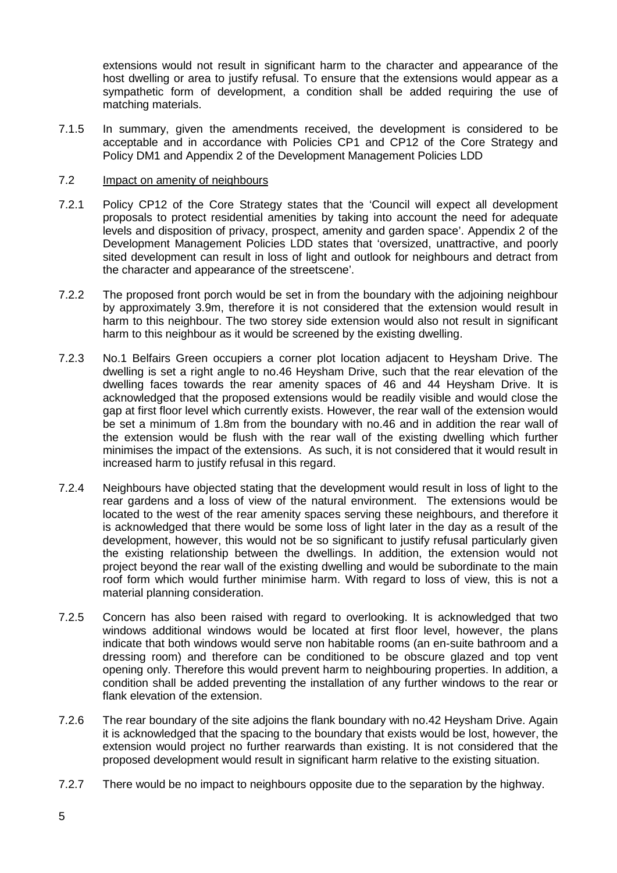extensions would not result in significant harm to the character and appearance of the host dwelling or area to justify refusal. To ensure that the extensions would appear as a sympathetic form of development, a condition shall be added requiring the use of matching materials.

7.1.5 In summary, given the amendments received, the development is considered to be acceptable and in accordance with Policies CP1 and CP12 of the Core Strategy and Policy DM1 and Appendix 2 of the Development Management Policies LDD

# 7.2 Impact on amenity of neighbours

- 7.2.1 Policy CP12 of the Core Strategy states that the 'Council will expect all development proposals to protect residential amenities by taking into account the need for adequate levels and disposition of privacy, prospect, amenity and garden space'. Appendix 2 of the Development Management Policies LDD states that 'oversized, unattractive, and poorly sited development can result in loss of light and outlook for neighbours and detract from the character and appearance of the streetscene'.
- 7.2.2 The proposed front porch would be set in from the boundary with the adjoining neighbour by approximately 3.9m, therefore it is not considered that the extension would result in harm to this neighbour. The two storey side extension would also not result in significant harm to this neighbour as it would be screened by the existing dwelling.
- 7.2.3 No.1 Belfairs Green occupiers a corner plot location adjacent to Heysham Drive. The dwelling is set a right angle to no.46 Heysham Drive, such that the rear elevation of the dwelling faces towards the rear amenity spaces of 46 and 44 Heysham Drive. It is acknowledged that the proposed extensions would be readily visible and would close the gap at first floor level which currently exists. However, the rear wall of the extension would be set a minimum of 1.8m from the boundary with no.46 and in addition the rear wall of the extension would be flush with the rear wall of the existing dwelling which further minimises the impact of the extensions. As such, it is not considered that it would result in increased harm to justify refusal in this regard.
- 7.2.4 Neighbours have objected stating that the development would result in loss of light to the rear gardens and a loss of view of the natural environment. The extensions would be located to the west of the rear amenity spaces serving these neighbours, and therefore it is acknowledged that there would be some loss of light later in the day as a result of the development, however, this would not be so significant to justify refusal particularly given the existing relationship between the dwellings. In addition, the extension would not project beyond the rear wall of the existing dwelling and would be subordinate to the main roof form which would further minimise harm. With regard to loss of view, this is not a material planning consideration.
- 7.2.5 Concern has also been raised with regard to overlooking. It is acknowledged that two windows additional windows would be located at first floor level, however, the plans indicate that both windows would serve non habitable rooms (an en-suite bathroom and a dressing room) and therefore can be conditioned to be obscure glazed and top vent opening only. Therefore this would prevent harm to neighbouring properties. In addition, a condition shall be added preventing the installation of any further windows to the rear or flank elevation of the extension.
- 7.2.6 The rear boundary of the site adjoins the flank boundary with no.42 Heysham Drive. Again it is acknowledged that the spacing to the boundary that exists would be lost, however, the extension would project no further rearwards than existing. It is not considered that the proposed development would result in significant harm relative to the existing situation.
- 7.2.7 There would be no impact to neighbours opposite due to the separation by the highway.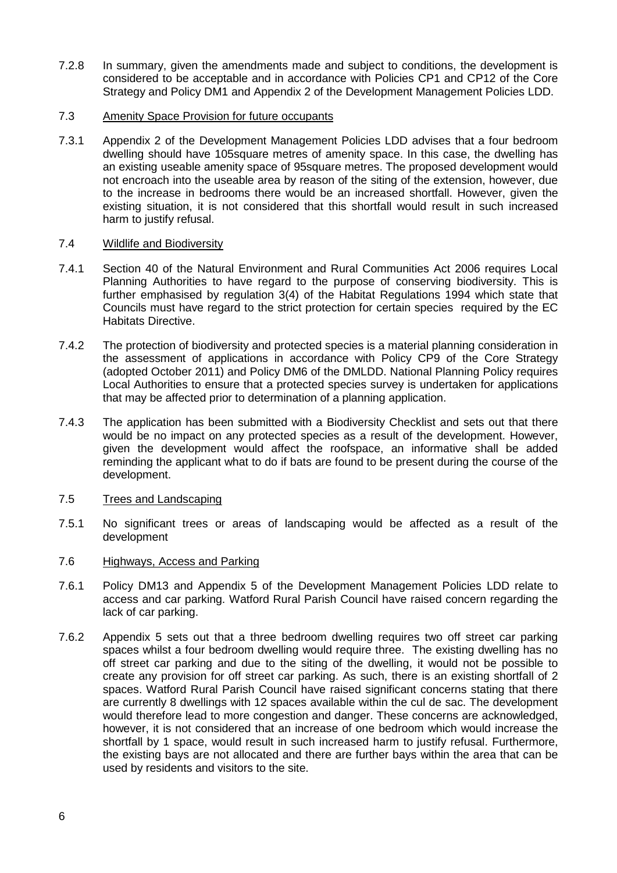- 7.2.8 In summary, given the amendments made and subject to conditions, the development is considered to be acceptable and in accordance with Policies CP1 and CP12 of the Core Strategy and Policy DM1 and Appendix 2 of the Development Management Policies LDD.
- 7.3 Amenity Space Provision for future occupants
- 7.3.1 Appendix 2 of the Development Management Policies LDD advises that a four bedroom dwelling should have 105square metres of amenity space. In this case, the dwelling has an existing useable amenity space of 95square metres. The proposed development would not encroach into the useable area by reason of the siting of the extension, however, due to the increase in bedrooms there would be an increased shortfall. However, given the existing situation, it is not considered that this shortfall would result in such increased harm to justify refusal.

## 7.4 Wildlife and Biodiversity

- 7.4.1 Section 40 of the Natural Environment and Rural Communities Act 2006 requires Local Planning Authorities to have regard to the purpose of conserving biodiversity. This is further emphasised by regulation 3(4) of the Habitat Regulations 1994 which state that Councils must have regard to the strict protection for certain species required by the EC Habitats Directive.
- 7.4.2 The protection of biodiversity and protected species is a material planning consideration in the assessment of applications in accordance with Policy CP9 of the Core Strategy (adopted October 2011) and Policy DM6 of the DMLDD. National Planning Policy requires Local Authorities to ensure that a protected species survey is undertaken for applications that may be affected prior to determination of a planning application.
- 7.4.3 The application has been submitted with a Biodiversity Checklist and sets out that there would be no impact on any protected species as a result of the development. However, given the development would affect the roofspace, an informative shall be added reminding the applicant what to do if bats are found to be present during the course of the development.
- 7.5 Trees and Landscaping
- 7.5.1 No significant trees or areas of landscaping would be affected as a result of the development
- 7.6 Highways, Access and Parking
- 7.6.1 Policy DM13 and Appendix 5 of the Development Management Policies LDD relate to access and car parking. Watford Rural Parish Council have raised concern regarding the lack of car parking.
- 7.6.2 Appendix 5 sets out that a three bedroom dwelling requires two off street car parking spaces whilst a four bedroom dwelling would require three. The existing dwelling has no off street car parking and due to the siting of the dwelling, it would not be possible to create any provision for off street car parking. As such, there is an existing shortfall of 2 spaces. Watford Rural Parish Council have raised significant concerns stating that there are currently 8 dwellings with 12 spaces available within the cul de sac. The development would therefore lead to more congestion and danger. These concerns are acknowledged, however, it is not considered that an increase of one bedroom which would increase the shortfall by 1 space, would result in such increased harm to justify refusal. Furthermore, the existing bays are not allocated and there are further bays within the area that can be used by residents and visitors to the site.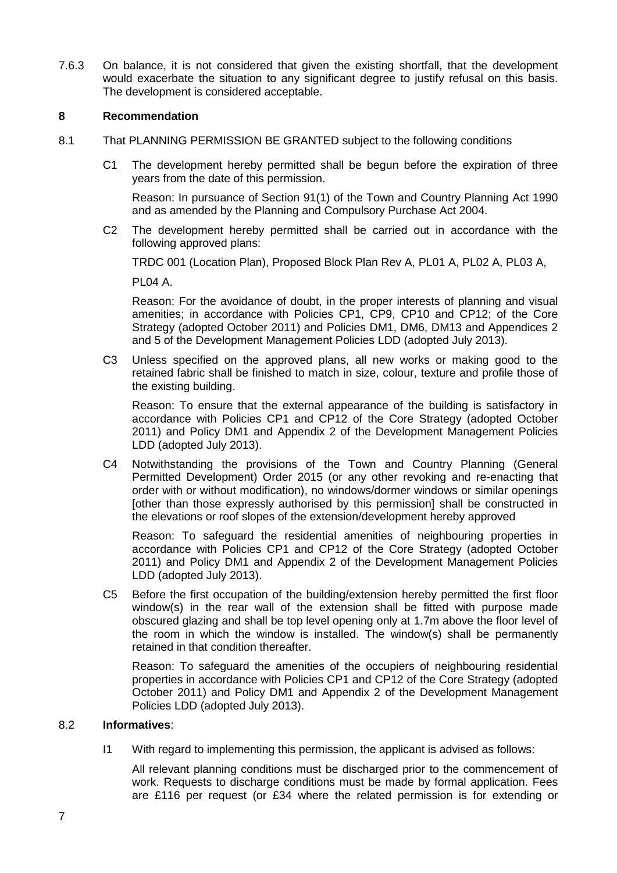7.6.3 On balance, it is not considered that given the existing shortfall, that the development would exacerbate the situation to any significant degree to justify refusal on this basis. The development is considered acceptable.

# **8 Recommendation**

- 8.1 That PLANNING PERMISSION BE GRANTED subject to the following conditions
	- C1 The development hereby permitted shall be begun before the expiration of three years from the date of this permission.

Reason: In pursuance of Section 91(1) of the Town and Country Planning Act 1990 and as amended by the Planning and Compulsory Purchase Act 2004.

C2 The development hereby permitted shall be carried out in accordance with the following approved plans:

TRDC 001 (Location Plan), Proposed Block Plan Rev A, PL01 A, PL02 A, PL03 A,

PL04 A.

Reason: For the avoidance of doubt, in the proper interests of planning and visual amenities; in accordance with Policies CP1, CP9, CP10 and CP12; of the Core Strategy (adopted October 2011) and Policies DM1, DM6, DM13 and Appendices 2 and 5 of the Development Management Policies LDD (adopted July 2013).

C3 Unless specified on the approved plans, all new works or making good to the retained fabric shall be finished to match in size, colour, texture and profile those of the existing building.

Reason: To ensure that the external appearance of the building is satisfactory in accordance with Policies CP1 and CP12 of the Core Strategy (adopted October 2011) and Policy DM1 and Appendix 2 of the Development Management Policies LDD (adopted July 2013).

C4 Notwithstanding the provisions of the Town and Country Planning (General Permitted Development) Order 2015 (or any other revoking and re-enacting that order with or without modification), no windows/dormer windows or similar openings [other than those expressly authorised by this permission] shall be constructed in the elevations or roof slopes of the extension/development hereby approved

Reason: To safeguard the residential amenities of neighbouring properties in accordance with Policies CP1 and CP12 of the Core Strategy (adopted October 2011) and Policy DM1 and Appendix 2 of the Development Management Policies LDD (adopted July 2013).

C5 Before the first occupation of the building/extension hereby permitted the first floor window(s) in the rear wall of the extension shall be fitted with purpose made obscured glazing and shall be top level opening only at 1.7m above the floor level of the room in which the window is installed. The window(s) shall be permanently retained in that condition thereafter.

Reason: To safeguard the amenities of the occupiers of neighbouring residential properties in accordance with Policies CP1 and CP12 of the Core Strategy (adopted October 2011) and Policy DM1 and Appendix 2 of the Development Management Policies LDD (adopted July 2013).

#### 8.2 **Informatives**:

I1 With regard to implementing this permission, the applicant is advised as follows:

All relevant planning conditions must be discharged prior to the commencement of work. Requests to discharge conditions must be made by formal application. Fees are £116 per request (or £34 where the related permission is for extending or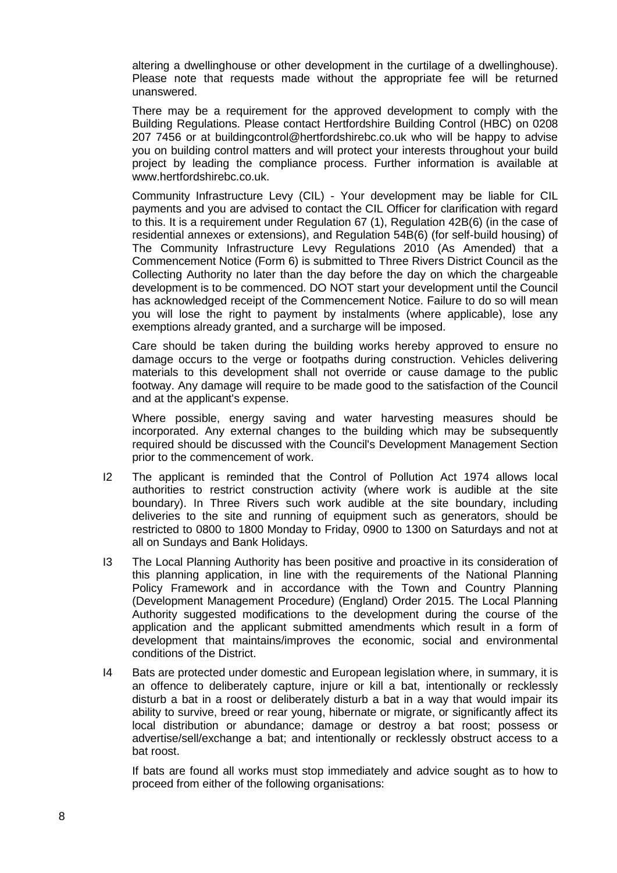altering a dwellinghouse or other development in the curtilage of a dwellinghouse). Please note that requests made without the appropriate fee will be returned unanswered.

There may be a requirement for the approved development to comply with the Building Regulations. Please contact Hertfordshire Building Control (HBC) on 0208 207 7456 or at buildingcontrol@hertfordshirebc.co.uk who will be happy to advise you on building control matters and will protect your interests throughout your build project by leading the compliance process. Further information is available at www.hertfordshirebc.co.uk.

Community Infrastructure Levy (CIL) - Your development may be liable for CIL payments and you are advised to contact the CIL Officer for clarification with regard to this. It is a requirement under Regulation 67 (1), Regulation 42B(6) (in the case of residential annexes or extensions), and Regulation 54B(6) (for self-build housing) of The Community Infrastructure Levy Regulations 2010 (As Amended) that a Commencement Notice (Form 6) is submitted to Three Rivers District Council as the Collecting Authority no later than the day before the day on which the chargeable development is to be commenced. DO NOT start your development until the Council has acknowledged receipt of the Commencement Notice. Failure to do so will mean you will lose the right to payment by instalments (where applicable), lose any exemptions already granted, and a surcharge will be imposed.

Care should be taken during the building works hereby approved to ensure no damage occurs to the verge or footpaths during construction. Vehicles delivering materials to this development shall not override or cause damage to the public footway. Any damage will require to be made good to the satisfaction of the Council and at the applicant's expense.

Where possible, energy saving and water harvesting measures should be incorporated. Any external changes to the building which may be subsequently required should be discussed with the Council's Development Management Section prior to the commencement of work.

- I2 The applicant is reminded that the Control of Pollution Act 1974 allows local authorities to restrict construction activity (where work is audible at the site boundary). In Three Rivers such work audible at the site boundary, including deliveries to the site and running of equipment such as generators, should be restricted to 0800 to 1800 Monday to Friday, 0900 to 1300 on Saturdays and not at all on Sundays and Bank Holidays.
- I3 The Local Planning Authority has been positive and proactive in its consideration of this planning application, in line with the requirements of the National Planning Policy Framework and in accordance with the Town and Country Planning (Development Management Procedure) (England) Order 2015. The Local Planning Authority suggested modifications to the development during the course of the application and the applicant submitted amendments which result in a form of development that maintains/improves the economic, social and environmental conditions of the District.
- I4 Bats are protected under domestic and European legislation where, in summary, it is an offence to deliberately capture, injure or kill a bat, intentionally or recklessly disturb a bat in a roost or deliberately disturb a bat in a way that would impair its ability to survive, breed or rear young, hibernate or migrate, or significantly affect its local distribution or abundance; damage or destroy a bat roost; possess or advertise/sell/exchange a bat; and intentionally or recklessly obstruct access to a bat roost.

If bats are found all works must stop immediately and advice sought as to how to proceed from either of the following organisations: